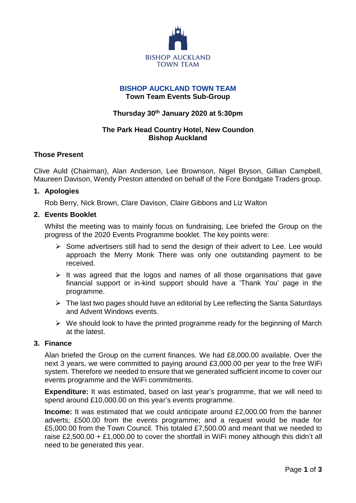

# **BISHOP AUCKLAND TOWN TEAM**

**Town Team Events Sub-Group**

## **Thursday 30th January 2020 at 5:30pm**

# **The Park Head Country Hotel, New Coundon Bishop Auckland**

#### **Those Present**

Clive Auld (Chairman), Alan Anderson, Lee Brownson, Nigel Bryson, Gillian Campbell, Maureen Davison, Wendy Preston attended on behalf of the Fore Bondgate Traders group.

#### **1. Apologies**

Rob Berry, Nick Brown, Clare Davison, Claire Gibbons and Liz Walton

## **2. Events Booklet**

Whilst the meeting was to mainly focus on fundraising, Lee briefed the Group on the progress of the 2020 Events Programme booklet. The key points were:

- $\triangleright$  Some advertisers still had to send the design of their advert to Lee. Lee would approach the Merry Monk There was only one outstanding payment to be received.
- $\triangleright$  It was agreed that the logos and names of all those organisations that gave financial support or in-kind support should have a 'Thank You' page in the programme.
- $\triangleright$  The last two pages should have an editorial by Lee reflecting the Santa Saturdays and Advent Windows events.
- $\triangleright$  We should look to have the printed programme ready for the beginning of March at the latest.

# **3. Finance**

Alan briefed the Group on the current finances. We had £8,000.00 available. Over the next 3 years, we were committed to paying around £3,000.00 per year to the free WiFi system. Therefore we needed to ensure that we generated sufficient income to cover our events programme and the WiFi commitments.

**Expenditure:** It was estimated, based on last year's programme, that we will need to spend around £10,000.00 on this year's events programme.

**Income:** It was estimated that we could anticipate around £2,000.00 from the banner adverts; £500.00 from the events programme; and a request would be made for £5,000.00 from the Town Council. This totaled £7,500.00 and meant that we needed to raise £2,500.00 + £1,000.00 to cover the shortfall in WiFi money although this didn't all need to be generated this year.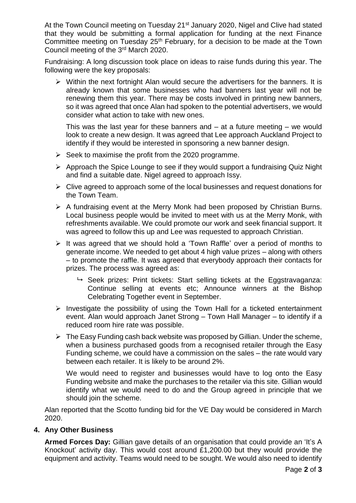At the Town Council meeting on Tuesday 21<sup>st</sup> January 2020, Nigel and Clive had stated that they would be submitting a formal application for funding at the next Finance Committee meeting on Tuesday 25<sup>th</sup> February, for a decision to be made at the Town Council meeting of the 3rd March 2020.

Fundraising: A long discussion took place on ideas to raise funds during this year. The following were the key proposals:

 $\triangleright$  Within the next fortnight Alan would secure the advertisers for the banners. It is already known that some businesses who had banners last year will not be renewing them this year. There may be costs involved in printing new banners, so it was agreed that once Alan had spoken to the potential advertisers, we would consider what action to take with new ones.

This was the last year for these banners and  $-$  at a future meeting  $-$  we would look to create a new design. It was agreed that Lee approach Auckland Project to identify if they would be interested in sponsoring a new banner design.

- $\triangleright$  Seek to maximise the profit from the 2020 programme.
- $\triangleright$  Approach the Spice Lounge to see if they would support a fundraising Quiz Night and find a suitable date. Nigel agreed to approach Issy.
- $\triangleright$  Clive agreed to approach some of the local businesses and request donations for the Town Team.
- $\triangleright$  A fundraising event at the Merry Monk had been proposed by Christian Burns. Local business people would be invited to meet with us at the Merry Monk, with refreshments available. We could promote our work and seek financial support. It was agreed to follow this up and Lee was requested to approach Christian.
- $\triangleright$  It was agreed that we should hold a 'Town Raffle' over a period of months to generate income. We needed to get about 4 high value prizes – along with others – to promote the raffle. It was agreed that everybody approach their contacts for prizes. The process was agreed as:
	- $\rightarrow$  Seek prizes: Print tickets: Start selling tickets at the Eggstravaganza: Continue selling at events etc; Announce winners at the Bishop Celebrating Together event in September.
- $\triangleright$  Investigate the possibility of using the Town Hall for a ticketed entertainment event. Alan would approach Janet Strong – Town Hall Manager – to identify if a reduced room hire rate was possible.
- $\triangleright$  The Easy Funding cash back website was proposed by Gillian. Under the scheme, when a business purchased goods from a recognised retailer through the Easy Funding scheme, we could have a commission on the sales – the rate would vary between each retailer. It is likely to be around 2%.

We would need to register and businesses would have to log onto the Easy Funding website and make the purchases to the retailer via this site. Gillian would identify what we would need to do and the Group agreed in principle that we should join the scheme.

Alan reported that the Scotto funding bid for the VE Day would be considered in March 2020.

#### **4. Any Other Business**

**Armed Forces Day:** Gillian gave details of an organisation that could provide an 'It's A Knockout' activity day. This would cost around £1,200.00 but they would provide the equipment and activity. Teams would need to be sought. We would also need to identify